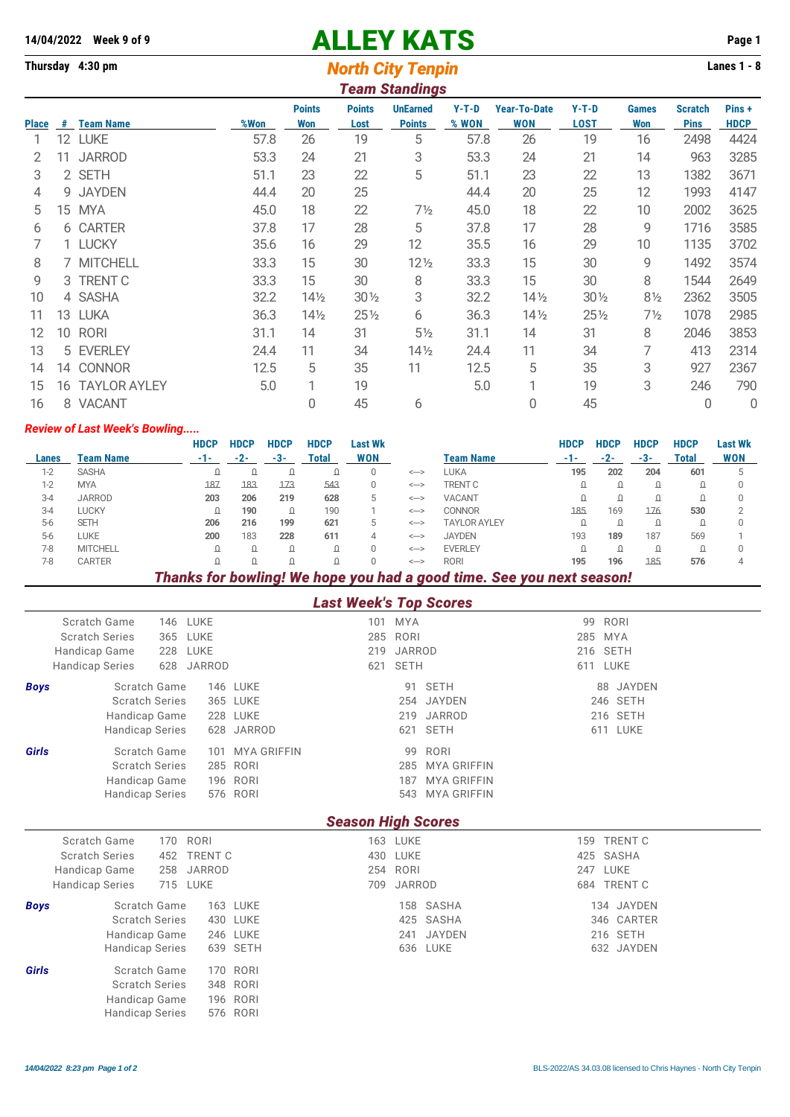# **14/04/2022** Week 9 of 9<br>
Thursday 4:30 pm<br> **14/04/2022** Week 9 of 9<br> **14/04/2022** Week 9 of 9<br> **14/04/2022** Week 9 of 9<br> **14/04/2022** Week 9 of 9<br> **14/04/2022** Week 9 of 9

## **Thursday 4:30 pm** *North City Tenpin* **Lanes 1 - 8**

|              | <b>Team Standings</b> |                     |      |                      |                       |                                  |                  |                                   |                        |                     |                               |                       |  |
|--------------|-----------------------|---------------------|------|----------------------|-----------------------|----------------------------------|------------------|-----------------------------------|------------------------|---------------------|-------------------------------|-----------------------|--|
| <b>Place</b> | #                     | <b>Team Name</b>    | %Won | <b>Points</b><br>Won | <b>Points</b><br>Lost | <b>UnEarned</b><br><b>Points</b> | $Y-T-D$<br>% WON | <b>Year-To-Date</b><br><b>WON</b> | $Y-T-D$<br><b>LOST</b> | <b>Games</b><br>Won | <b>Scratch</b><br><b>Pins</b> | Pins +<br><b>HDCP</b> |  |
|              | 12                    | LUKE                | 57.8 | 26                   | 19                    | 5                                | 57.8             | 26                                | 19                     | 16                  | 2498                          | 4424                  |  |
| 2            | 11                    | <b>JARROD</b>       | 53.3 | 24                   | 21                    | 3                                | 53.3             | 24                                | 21                     | 14                  | 963                           | 3285                  |  |
| 3            |                       | 2 SETH              | 51.1 | 23                   | 22                    | 5                                | 51.1             | 23                                | 22                     | 13                  | 1382                          | 3671                  |  |
| 4            | 9                     | <b>JAYDEN</b>       | 44.4 | 20                   | 25                    |                                  | 44.4             | 20                                | 25                     | 12                  | 1993                          | 4147                  |  |
| 5            | 15 <sup>15</sup>      | <b>MYA</b>          | 45.0 | 18                   | 22                    | $7\frac{1}{2}$                   | 45.0             | 18                                | 22                     | 10                  | 2002                          | 3625                  |  |
| 6            |                       | 6 CARTER            | 37.8 | 17                   | 28                    | 5                                | 37.8             | 17                                | 28                     | 9                   | 1716                          | 3585                  |  |
|              |                       | 1 LUCKY             | 35.6 | 16                   | 29                    | 12                               | 35.5             | 16                                | 29                     | 10                  | 1135                          | 3702                  |  |
| 8            |                       | 7 MITCHELL          | 33.3 | 15                   | 30                    | $12\frac{1}{2}$                  | 33.3             | 15                                | 30                     | 9                   | 1492                          | 3574                  |  |
| 9            |                       | 3 TRENT C           | 33.3 | 15                   | 30                    | 8                                | 33.3             | 15                                | 30                     | 8                   | 1544                          | 2649                  |  |
| 10           |                       | 4 SASHA             | 32.2 | 14½                  | $30\%$                | 3                                | 32.2             | 14 <sub>2</sub>                   | $30\%$                 | $8\frac{1}{2}$      | 2362                          | 3505                  |  |
| 11           | 13                    | <b>LUKA</b>         | 36.3 | $14\frac{1}{2}$      | $25\%$                | 6                                | 36.3             | $14\frac{1}{2}$                   | $25\frac{1}{2}$        | $7\frac{1}{2}$      | 1078                          | 2985                  |  |
| 12           | 10                    | <b>RORI</b>         | 31.1 | 14                   | 31                    | $5\frac{1}{2}$                   | 31.1             | 14                                | 31                     | 8                   | 2046                          | 3853                  |  |
| 13           |                       | 5 EVERLEY           | 24.4 | 11                   | 34                    | $14\frac{1}{2}$                  | 24.4             | 11                                | 34                     | 7                   | 413                           | 2314                  |  |
| 14           | 14                    | <b>CONNOR</b>       | 12.5 | 5                    | 35                    | 11                               | 12.5             | 5                                 | 35                     | 3                   | 927                           | 2367                  |  |
| 15           | 16                    | <b>TAYLOR AYLEY</b> | 5.0  |                      | 19                    |                                  | 5.0              |                                   | 19                     | 3                   | 246                           | 790                   |  |
| 16           |                       | 8 VACANT            |      | 0                    | 45                    | 6                                |                  | 0                                 | 45                     |                     | 0                             | 0                     |  |

#### *Review of Last Week's Bowling.....*

|         |                  | <b>HDCP</b> | <b>HDCP</b> | <b>HDCP</b> | <b>HDCP</b> | Last Wk    |                       |                     | <b>HDCP</b> | HDCP | <b>HDCP</b> | <b>HDCP</b>  | Last Wk    |
|---------|------------------|-------------|-------------|-------------|-------------|------------|-----------------------|---------------------|-------------|------|-------------|--------------|------------|
| Lanes   | <b>Team Name</b> | -1-         | $-2-$       | -3-         | Total       | <b>WON</b> |                       | <b>Team Name</b>    | $-1-$       | -2-  | -3-         | <b>Total</b> | <b>WON</b> |
| $1-2$   | <b>SASHA</b>     | Ω           |             |             |             |            | $\Longleftrightarrow$ | LUKA                | 195         | 202  | 204         | 601          |            |
| $1-2$   | <b>MYA</b>       | 187         | 183         | 173         | 543         | 0          | $\leftarrow$          | <b>TRENT C</b>      |             |      | Ω           |              |            |
| $3 - 4$ | <b>JARROD</b>    | 203         | 206         | 219         | 628         | b          | $\Longleftrightarrow$ | <b>VACANT</b>       |             |      | Ω           |              |            |
| $3-4$   | <b>LUCKY</b>     | Ω           | 190         | ۵           | 190         |            | $\leftarrow$          | <b>CONNOR</b>       | 185         | 169  | 176         | 530          |            |
| $5-6$   | <b>SETH</b>      | 206         | 216         | 199         | 621         | b          | $\leftarrow$          | <b>TAYLOR AYLEY</b> |             |      | Ω           |              |            |
| $5-6$   | LUKE             | 200         | 183         | 228         | 611         | 4          | $\leftarrow$          | <b>JAYDEN</b>       | 193         | 189  | 187         | 569          |            |
| $7-8$   | <b>MITCHELL</b>  | Ω           |             |             |             |            | $\leftarrow$          | <b>EVERLEY</b>      |             |      |             |              |            |
| $7-8$   | <b>CARTER</b>    |             |             |             |             |            | $\Longleftrightarrow$ | <b>RORI</b>         | 195         | 196  | 185         | 576          |            |

### *Thanks for bowling! We hope you had a good time. See you next season!*

#### *Last Week's Top Scores*

|             | Scratch Game<br><b>Scratch Series</b> |     | 146 LUKE<br>365 LUKE |                    | 101<br>285                | MYA<br>RORI     |                    |     | 99 RORI<br>285 MYA |  |
|-------------|---------------------------------------|-----|----------------------|--------------------|---------------------------|-----------------|--------------------|-----|--------------------|--|
|             |                                       |     |                      |                    |                           |                 |                    |     |                    |  |
|             | Handicap Game                         |     | 228 LUKE             |                    |                           | 219 JARROD      |                    |     | 216 SETH           |  |
|             | <b>Handicap Series</b>                | 628 | JARROD               |                    | 621                       | <b>SETH</b>     |                    |     | 611 LUKE           |  |
| <b>Boys</b> | Scratch Game                          |     |                      | <b>146 LUKE</b>    |                           | 91              | <b>SETH</b>        |     | 88 JAYDEN          |  |
|             | <b>Scratch Series</b>                 |     |                      | 365 LUKE           |                           |                 | 254 JAYDEN         |     | 246 SETH           |  |
|             | Handicap Game                         |     |                      | 228 LUKE           |                           | 219             | JARROD             |     | 216 SETH           |  |
|             | <b>Handicap Series</b>                |     |                      | 628 JARROD         |                           | 621             | <b>SETH</b>        |     | 611 LUKE           |  |
| Girls       | Scratch Game                          |     | 101                  | <b>MYA GRIFFIN</b> |                           | 99              | RORI               |     |                    |  |
|             | <b>Scratch Series</b>                 |     |                      | 285 RORI           |                           |                 | 285 MYA GRIFFIN    |     |                    |  |
|             | Handicap Game                         |     |                      | 196 RORI           |                           | 187             | <b>MYA GRIFFIN</b> |     |                    |  |
|             | <b>Handicap Series</b>                |     |                      | 576 RORI           |                           |                 | 543 MYA GRIFFIN    |     |                    |  |
|             |                                       |     |                      |                    | <b>Season High Scores</b> |                 |                    |     |                    |  |
|             | <b>Scratch Game</b>                   | 170 | RORI                 |                    |                           | <b>163 LUKE</b> |                    | 159 | <b>TRENT C</b>     |  |

|             | <b>Scratch Series</b><br>452       | TRENT C  | 430 LUKE   |            | 425 SASHA   |
|-------------|------------------------------------|----------|------------|------------|-------------|
|             | 258 JARROD<br>Handicap Game        |          | 254 RORI   |            | 247 LUKE    |
|             | <b>Handicap Series</b><br>715 LUKE |          | 709 JARROD |            | 684 TRENT C |
| <b>Boys</b> | Scratch Game                       | 163 LUKE |            | 158 SASHA  | 134 JAYDE   |
|             | <b>Scratch Series</b>              | 430 LUKE |            | 425 SASHA  | 346 CARTE   |
|             | Handicap Game                      | 246 LUKE |            | 241 JAYDEN | 216 SETH    |
|             | <b>Handicap Series</b>             | 639 SETH |            | 636 LUKE   | 632 JAYDE   |
| Girls       | Scratch Game                       | 170 RORI |            |            |             |
|             | <b>Scratch Series</b>              | 348 RORI |            |            |             |
|             | Handicap Game                      | 196 RORI |            |            |             |
|             | <b>Handicap Series</b>             | 576 RORI |            |            |             |
|             |                                    |          |            |            |             |